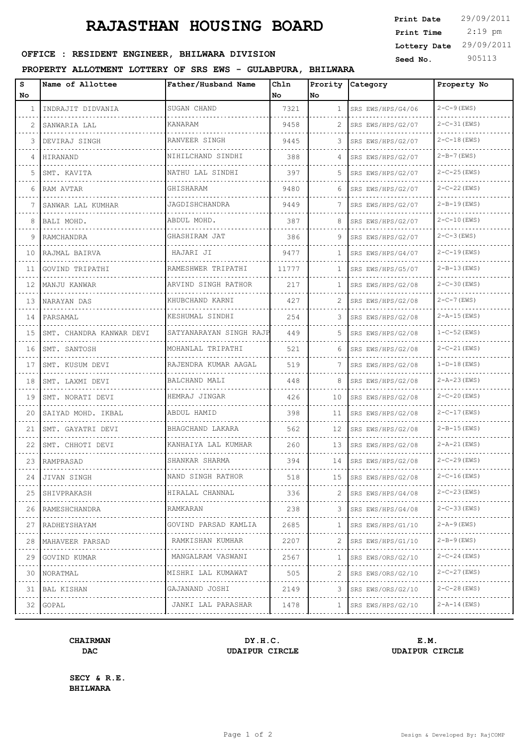## **RAJASTHAN HOUSING BOARD**

 2:19 pm **Print Date**  $29/09/2011$ **Print Time Lottery Date** 29/09/2011

### **SEED OFFICE : RESIDENT ENGINEER, BHILWARA DIVISION Seed No.** 905113

### **PROPERTY ALLOTMENT LOTTERY OF SRS EWS - GULABPURA, BHILWARA**

| s<br>No | Name of Allottee         | Father/Husband Name     | Chln<br>l No | Prority<br>No. | Category          | Property No        |
|---------|--------------------------|-------------------------|--------------|----------------|-------------------|--------------------|
| 1       | INDRAJIT DIDVANIA        | SUGAN CHAND             | 7321         | $\mathbf{1}$   | SRS EWS/HPS/G4/06 | $2 - C - 9$ (EWS)  |
| 2       | SANWARIA LAL             | <b>KANARAM</b>          | 9458         | 2              | SRS EWS/HPS/G2/07 | $2 - C - 31$ (EWS) |
| 3       | DEVIRAJ SINGH            | RANVEER SINGH           | 9445         | 3              | SRS EWS/HPS/G2/07 | $2 - C - 18$ (EWS) |
| 4       | HIRANAND                 | NIHILCHAND SINDHI       | 388          | 4              | SRS EWS/HPS/G2/07 | $2 - B - 7$ (EWS)  |
| 5       | SMT. KAVITA              | NATHU LAL SINDHI        | 397          | 5.             | SRS EWS/HPS/G2/07 | $2 - C - 25$ (EWS) |
| 6       | RAM AVTAR                | GHISHARAM               | 9480         | 6              | SRS EWS/HPS/G2/07 | $2 - C - 22$ (EWS) |
| 7       | SANWAR LAL KUMHAR        | JAGDISHCHANDRA          | 9449         | 7              | SRS EWS/HPS/G2/07 | $2 - B - 19$ (EWS) |
| 8       | BALI MOHD.               | ABDUL MOHD.             | 387          | 8              | SRS EWS/HPS/G2/07 | $2 - C - 10$ (EWS) |
| 9       | RAMCHANDRA               | GHASHIRAM JAT           | 386          | 9              | SRS EWS/HPS/G2/07 | $2 - C - 3$ (EWS)  |
| 10      | RAJMAL BAIRVA            | HAJARI JI               | 9477         | $\mathbf{1}$   | SRS EWS/HPS/G4/07 | $2 - C - 19$ (EWS) |
| 11      | GOVIND TRIPATHI          | RAMESHWER TRIPATHI      | 11777        | $\mathbf{1}$   | SRS EWS/HPS/G5/07 | $2 - B - 13$ (EWS) |
| 12      | MANJU KANWAR             | ARVIND SINGH RATHOR     | 217          | $\mathbf{1}$   | SRS EWS/HPS/G2/08 | $2 - C - 30$ (EWS) |
| 13      | NARAYAN DAS              | KHUBCHAND KARNI         | 427          | 2              | SRS EWS/HPS/G2/08 | $2 - C - 7$ (EWS)  |
| 14      | PARSAMAL                 | KESHUMAL SINDHI         | 254          | 3              | SRS EWS/HPS/G2/08 | $2 - A - 15$ (EWS) |
| 15      | SMT. CHANDRA KANWAR DEVI | SATYANARAYAN SINGH RAJP | 449          | 5.             | SRS EWS/HPS/G2/08 | $1 - C - 52$ (EWS) |
| 16      | SMT. SANTOSH             | MOHANLAL TRIPATHI       | 521          | 6              | SRS EWS/HPS/G2/08 | $2 - C - 21$ (EWS) |
| 17      | SMT. KUSUM DEVI          | RAJENDRA KUMAR AAGAL    | 519          | 7              | SRS EWS/HPS/G2/08 | $1-D-18$ (EWS)     |
| 18      | SMT. LAXMI DEVI          | BALCHAND MALI           | 448          | 8              | SRS EWS/HPS/G2/08 | $2 - A - 23$ (EWS) |
| 19      | SMT. NORATI DEVI         | HEMRAJ JINGAR           | 426          | 10             | SRS EWS/HPS/G2/08 | $2 - C - 20$ (EWS) |
| 20      | SAIYAD MOHD. IKBAL       | ABDUL HAMID             | 398          | 11             | SRS EWS/HPS/G2/08 | $2 - C - 17$ (EWS) |
| 21      | SMT. GAYATRI DEVI        | BHAGCHAND LAKARA        | 562          | 12             | SRS EWS/HPS/G2/08 | $2 - B - 15$ (EWS) |
| 22      | SMT. CHHOTI DEVI         | KANHAIYA LAL KUMHAR     | 260          | 13             | SRS EWS/HPS/G2/08 | $2 - A - 21$ (EWS) |
| 23      | RAMPRASAD                | SHANKAR SHARMA          | 394          | 14             | SRS EWS/HPS/G2/08 | $2 - C - 29$ (EWS) |
| 24      | JIVAN SINGH              | NAND SINGH RATHOR       | 518          | 15             | SRS EWS/HPS/G2/08 | 2-C-16 (EWS)       |
| 25      | SHIVPRAKASH              | HIRALAL CHANNAL         | 336          |                | SRS EWS/HPS/G4/08 | $2 - C - 23$ (EWS) |
| 26      | RAMESHCHANDRA            | RAMKARAN                | 238          | 3              | SRS EWS/HPS/G4/08 | $2 - C - 33$ (EWS) |
| 27      | RADHEYSHAYAM             | GOVIND PARSAD KAMLIA    | 2685         | 1              | SRS EWS/HPS/G1/10 | $2 - A - 9$ (EWS)  |
| 28      | MAHAVEER PARSAD          | RAMKISHAN KUMHAR        | 2207         | 2              | SRS EWS/HPS/G1/10 | $2 - B - 9$ (EWS)  |
| 29      | GOVIND KUMAR             | MANGALRAM VASWANI       | 2567         | 1              | SRS EWS/ORS/G2/10 | $2 - C - 24$ (EWS) |
| 30      | NORATMAL                 | MISHRI LAL KUMAWAT      | 505          |                | SRS EWS/ORS/G2/10 | $2 - C - 27$ (EWS) |
| 31      | BAL KISHAN               | GAJANAND JOSHI<br>.     | 2149         | 3              | SRS EWS/ORS/G2/10 | $2 - C - 28$ (EWS) |
| 32      | GOPAL                    | JANKI LAL PARASHAR      | 1478         | 1              | SRS EWS/HPS/G2/10 | $2 - A - 14$ (EWS) |

# **DAC UDAIPUR CIRCLE UDAIPUR CIRCLE**

**CHAIRMAN DY.H.C. E.M.**

**SECY & R.E. BHILWARA**